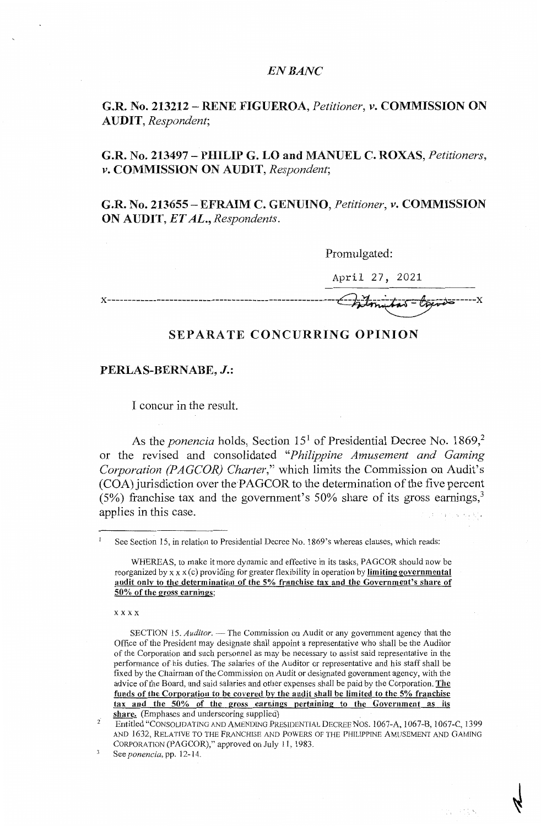## *EN BANC*

**G.R. No. 213212** - **RENE FIGUEROA,** *Petitioner, v.* **COMMISSION ON AUDIT,** *Respondent;* 

**G.R. No. 213497** - **PHILIP G. LO and MANUEL C. ROXAS,** *Petitioners, v.* **COMMISSION ON AUDIT,** *Respondent;* 

**G.R. No. 213655** - **EFRAIM C. GENUINO,** *Petitioner, v.* **COMMISSION ON AUDIT,** *ET AL., Respondents.* 

Promulgated:

April 27, 2021

## **SEPARATE CONCURRING OPINION**

## **PERLAS-BERNABE, J.:**

I concur in the result.

As the *ponencia* holds, Section 15<sup>1</sup> of Presidential Decree No. 1869.<sup>2</sup> or the revised and consolidated *"Philippine Amusement and Gaming Corporation (PAGCOR) Charter,"* which limits the Commission on Audit's (COA) jurisdiction over the·PAGCOR to the determination of the five percent (5%) franchise tax and the government's 50% share of its gross earnings, $3\,$ applies in this case.

xxxx

su provi

See Section 15, in relation to Presidential Decree No. 1869's whereas clauses, which reads:

WHEREAS, to make it more dynamic and effective in its tasks, PAGCOR should now be reorganized by xx x (c) providing for greater flexibility in operation by **limiting governmental audit only to the determination of the 5% franchise tax and the Government's share of 50% of the gross earnings;** 

SECTION 15. *Auditor*. — The Commission on Audit or any government agency that the Office of the President may designate shall appoint a representative who shall be the Auditor of the Corporation and such personnel as may be necessary to assist said representative in the performance of his duties. The salaries of the Auditor or representative and his staff shall be fixed by the Chairman of the Commlssicm on Audit or designated government agency, with the advice of the Board, and said salaries and other expenses shall be paid by the Corporation. **The funds of the Corporation** to **be covered** by **the** audit **shall be limited to the 5% franchise tax and the 50% of** the **gross earnings pertaining to the Government as its**  share. (Emphases and underscoring supplied)

<sup>2</sup>  Entitled "CONSOLIDATING AND AMENDlNG PRESIDENTIAL DECREE Nos. 1067-A, 1067-B, 1067-C, 1399 AND 1632, RELATIVE TO THE FRANCHISE AND POWERS OF THE PHILIPPINE AMUSEMENT AND GAMING CORPORATION (PAGCOR)," approved on July 11, 1983.

See *ponencia,* pp. 12-14\_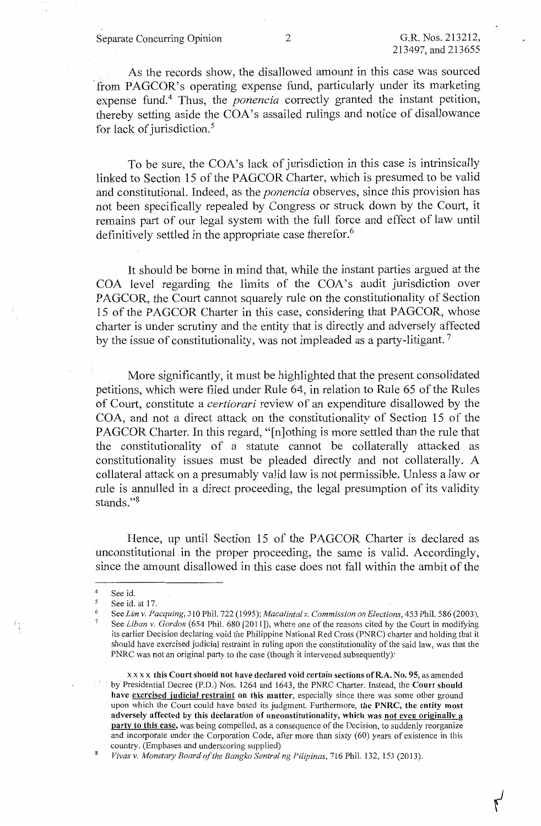Separate Concurring Opinion 2 G.R. Nos. 213212,

As the records show, the disallowed amount in this case was sourced from PAGCOR's operating expense fund, particularly under its marketing expense fund.<sup>4</sup> Thus, the *ponencia* correctly granted the instant petition, thereby setting aside the COA's assailed rulings and notice of disallowance for lack of jurisdiction.<sup>5</sup>

To be sure, the COA's lack of jurisdiction in this case is intrinsically linked to Section 15 of the PAGCOR Charter, which is presumed to be valid and constitutional. Indeed, as the *ponencia* observes, since this provision has not been specifically repealed by Congress or struck down by the Court, it remains part of our legal system with the full force and effect of law until definitively settled in the appropriate case therefor.<sup>6</sup>

It should be borne in mind that, while the instant parties argued at the COA level regarding the limits of the COA's audit jurisdiction over PAGCOR, the Court cannot squarely rule on the constitutionality of Section 15 of the PAGCOR Charter in this case, considering that PAGCOR, whose charter is under scrutiny and the entity that is directly and adversely affected by the issue of constitutionality, was not impleaded as a party-litigant.<sup>7</sup>

More significantly, it must be highlighted that the present consolidated petitions, which were filed under Rule 64, in relation to Rule 65 of the Rules of Court, constitute a *certiorari* review of an expenditure disallowed by the COA, and not a direct attack on the constitutionality of Section 15 of the PAGCOR Charter. In this regard, "[n]othing is more settled than the rule that the constitutionality of a statute cannot be collaterally attacked as constitutionality issues must be pleaded directly and not collaterally. A collateral attack on a presumably valid law is not permissible. Unless a law or rule is annulled in a direct proceeding, the legal presumption of its validity stands."<sup>8</sup>

Hence, up until Section 15 of the PAGCOR Charter is declared as unconstitutional in the proper proceeding, the same is valid. Accordingly, since the amount disallowed in this case does not fall within the ambit of the

<sup>4</sup>  See id.

<sup>5</sup> See id. at 17.

<sup>6</sup>  7 See *Lim v. Pacquing,* 310 Phil. 722 (1995); *Macalintal v. Commission on Elections,* 453 Phil. 586 (2003). See *Liban* v. *Gordon* (654 Phil. 680 [2011]), where one of the reasons cited by the Court in modifying its earlier Decision declaring void the Philippine National Red Cross (PNRC) charter and holding that it should have exercised judicial restraint in ruling upon the constitutionality of the said law, was that the PNRC was not an original party to the case (though it intervened subsequently):

xx xx **this Court should not have declared void certain sections ofR.A. No. 95,** as amended · by Presidential Decree (P.D.) Nos. 1264 and 1643, the PNRC Charter. Instead, the **Court should have exercised judicial restraint on this matter,** especially since there was some other ground upon which the Court could have based its judgment. Furthermore, **the PNRC, the entity most adversely affected by this declaration of unconstitutionality, which was not even originally a party to this case,** was being compelled, as a consequence of the Decision, to suddenly reorganize and incorporate under the Corporation Code, after more than sixty (60) years of existence in this country. (Emphases and underscoring supplied)

*Vivas* v. *Monetary Board of the Bangko Sentral ng Pilipinas,* 716 Phil. 132, 153 (2013).